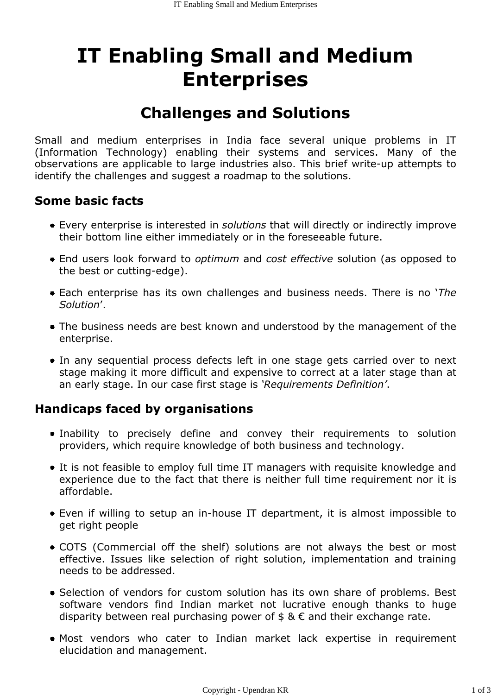# IT Enabling Small and Medium Enterprises

## Challenges and Solutions

Small and medium enterprises in India face several unique problems in IT (Information Technology) enabling their systems and services. Many of the observations are applicable to large industries also. This brief write-up attempts to identify the challenges and suggest a roadmap to the solutions.

#### Some basic facts

- Every enterprise is interested in solutions that will directly or indirectly improve their bottom line either immediately or in the foreseeable future.
- End users look forward to *optimum* and cost effective solution (as opposed to the best or cutting-edge).
- Each enterprise has its own challenges and business needs. There is no 'The Solution'.
- The business needs are best known and understood by the management of the enterprise.
- In any sequential process defects left in one stage gets carried over to next stage making it more difficult and expensive to correct at a later stage than at an early stage. In our case first stage is 'Requirements Definition'.

#### Handicaps faced by organisations

- Inability to precisely define and convey their requirements to solution providers, which require knowledge of both business and technology.
- It is not feasible to employ full time IT managers with requisite knowledge and experience due to the fact that there is neither full time requirement nor it is affordable.
- Even if willing to setup an in-house IT department, it is almost impossible to get right people
- COTS (Commercial off the shelf) solutions are not always the best or most effective. Issues like selection of right solution, implementation and training needs to be addressed.
- Selection of vendors for custom solution has its own share of problems. Best software vendors find Indian market not lucrative enough thanks to huge disparity between real purchasing power of  $\frac{1}{2} \& \in \mathbb{R}$  and their exchange rate.
- Most vendors who cater to Indian market lack expertise in requirement elucidation and management.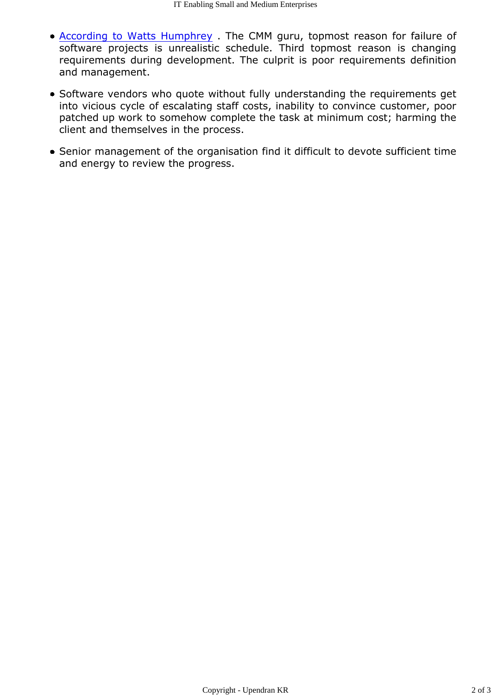- According to Watts Humphrey . The CMM guru, topmost reason for failure of software projects is unrealistic schedule. Third topmost reason is changing requirements during development. The culprit is poor requirements definition and management.
- Software vendors who quote without fully understanding the requirements get into vicious cycle of escalating staff costs, inability to convince customer, poor patched up work to somehow complete the task at minimum cost; harming the client and themselves in the process.
- Senior management of the organisation find it difficult to devote sufficient time and energy to review the progress.